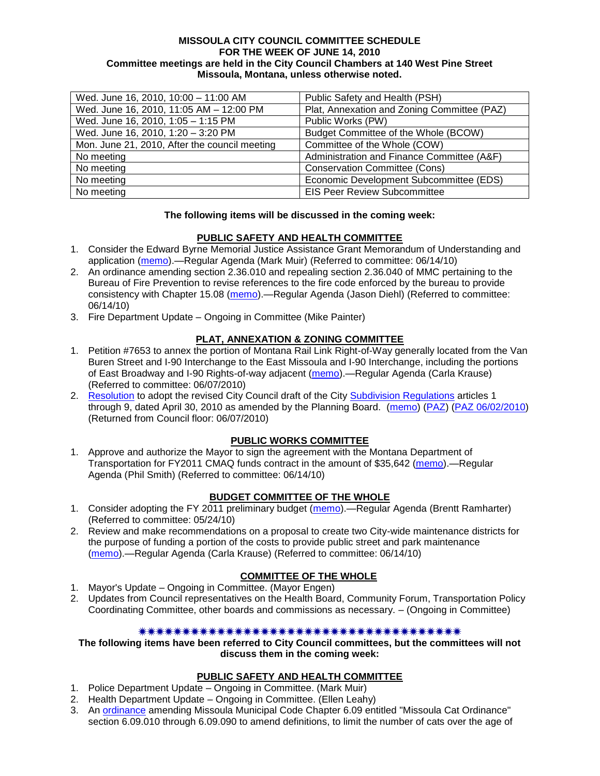#### **MISSOULA CITY COUNCIL COMMITTEE SCHEDULE FOR THE WEEK OF JUNE 14, 2010 Committee meetings are held in the City Council Chambers at 140 West Pine Street Missoula, Montana, unless otherwise noted.**

| Wed. June 16, 2010, 10:00 - 11:00 AM          | Public Safety and Health (PSH)              |
|-----------------------------------------------|---------------------------------------------|
| Wed. June 16, 2010, 11:05 AM - 12:00 PM       | Plat, Annexation and Zoning Committee (PAZ) |
| Wed. June 16, 2010, 1:05 - 1:15 PM            | Public Works (PW)                           |
| Wed. June 16, 2010, 1:20 - 3:20 PM            | Budget Committee of the Whole (BCOW)        |
| Mon. June 21, 2010, After the council meeting | Committee of the Whole (COW)                |
| No meeting                                    | Administration and Finance Committee (A&F)  |
| No meeting                                    | <b>Conservation Committee (Cons)</b>        |
| No meeting                                    | Economic Development Subcommittee (EDS)     |
| No meeting                                    | <b>EIS Peer Review Subcommittee</b>         |

### **The following items will be discussed in the coming week:**

### **PUBLIC SAFETY AND HEALTH COMMITTEE**

- 1. Consider the Edward Byrne Memorial Justice Assistance Grant Memorandum of Understanding and application [\(memo\)](http://www.ci.missoula.mt.us/DocumentView.aspx?DID=4088).—Regular Agenda (Mark Muir) (Referred to committee: 06/14/10)
- 2. An ordinance amending section 2.36.010 and repealing section 2.36.040 of MMC pertaining to the Bureau of Fire Prevention to revise references to the fire code enforced by the bureau to provide consistency with Chapter 15.08 [\(memo\)](http://www.ci.missoula.mt.us/DocumentView.aspx?DID=4087).—Regular Agenda (Jason Diehl) (Referred to committee: 06/14/10)
- 3. Fire Department Update Ongoing in Committee (Mike Painter)

### **PLAT, ANNEXATION & ZONING COMMITTEE**

- 1. Petition #7653 to annex the portion of Montana Rail Link Right-of-Way generally located from the Van Buren Street and I-90 Interchange to the East Missoula and I-90 Interchange, including the portions of East Broadway and I-90 Rights-of-way adjacent [\(memo\)](http://www.ci.missoula.mt.us/DocumentView.aspx?DID=4034).—Regular Agenda (Carla Krause) (Referred to committee: 06/07/2010)
- 2. [Resolution](http://www.ci.missoula.mt.us/DocumentView.aspx?DID=3844) to adopt the revised City Council draft of the City [Subdivision Regulations](http://www.ci.missoula.mt.us/DocumentView.aspx?DID=3692) articles 1 through 9, dated April 30, 2010 as amended by the Planning Board. [\(memo\)](http://www.ci.missoula.mt.us/DocumentView.aspx?DID=3698) [\(PAZ\)](http://www.ci.missoula.mt.us/Archive.aspx?ADID=2336) [\(PAZ 06/02/2010\)](http://www.ci.missoula.mt.us/Archive.aspx?ADID=2481) (Returned from Council floor: 06/07/2010)

### **PUBLIC WORKS COMMITTEE**

1. Approve and authorize the Mayor to sign the agreement with the Montana Department of Transportation for FY2011 CMAQ funds contract in the amount of \$35,642 [\(memo\)](http://www.ci.missoula.mt.us/DocumentView.aspx?DID=4085).—Regular Agenda (Phil Smith) (Referred to committee: 06/14/10)

#### **BUDGET COMMITTEE OF THE WHOLE**

- 1. Consider adopting the FY 2011 preliminary budget [\(memo\)](http://www.ci.missoula.mt.us/DocumentView.aspx?DID=3881).—Regular Agenda (Brentt Ramharter) (Referred to committee: 05/24/10)
- 2. Review and make recommendations on a proposal to create two City-wide maintenance districts for the purpose of funding a portion of the costs to provide public street and park maintenance [\(memo\)](http://www.ci.missoula.mt.us/DocumentView.aspx?DID=4093).—Regular Agenda (Carla Krause) (Referred to committee: 06/14/10)

## **COMMITTEE OF THE WHOLE**

- 1. Mayor's Update Ongoing in Committee. (Mayor Engen)
- 2. Updates from Council representatives on the Health Board, Community Forum, Transportation Policy Coordinating Committee, other boards and commissions as necessary. – (Ongoing in Committee)

## 

**The following items have been referred to City Council committees, but the committees will not discuss them in the coming week:**

#### **PUBLIC SAFETY AND HEALTH COMMITTEE**

- 1. Police Department Update Ongoing in Committee. (Mark Muir)
- 2. Health Department Update Ongoing in Committee. (Ellen Leahy)
- 3. An [ordinance](ftp://ftp.ci.missoula.mt.us/Packets/Council/2008/2008-12-15/2008CatOrdinanceAmendment%5B1%5D.pdf) amending Missoula Municipal Code Chapter 6.09 entitled "Missoula Cat Ordinance" section 6.09.010 through 6.09.090 to amend definitions, to limit the number of cats over the age of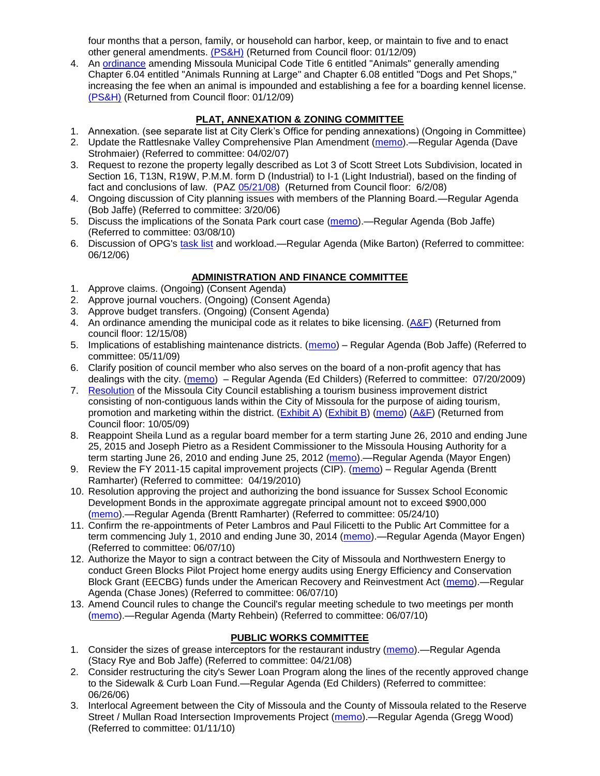four months that a person, family, or household can harbor, keep, or maintain to five and to enact other general amendments. [\(PS&H\)](ftp://ftp.ci.missoula.mt.us/Packets/Council/2008/2008-12-15/081210psh.pdf) (Returned from Council floor: 01/12/09)

4. An [ordinance](ftp://ftp.ci.missoula.mt.us/Packets/Council/2008/2008-12-15/DogOrdinance--PSHrevisions.pdf) amending Missoula Municipal Code Title 6 entitled "Animals" generally amending Chapter 6.04 entitled "Animals Running at Large" and Chapter 6.08 entitled "Dogs and Pet Shops," increasing the fee when an animal is impounded and establishing a fee for a boarding kennel license. [\(PS&H\)](ftp://ftp.ci.missoula.mt.us/Packets/Council/2008/2008-12-15/081210psh.pdf) (Returned from Council floor: 01/12/09)

## **PLAT, ANNEXATION & ZONING COMMITTEE**

- 1. Annexation. (see separate list at City Clerk's Office for pending annexations) (Ongoing in Committee)
- 2. Update the Rattlesnake Valley Comprehensive Plan Amendment [\(memo\)](ftp://ftp.ci.missoula.mt.us/Packets/Council/2007/2007-04-02/Referrals/Rattlesnake_Plan_Update_referral.pdf).—Regular Agenda (Dave Strohmaier) (Referred to committee: 04/02/07)
- 3. Request to rezone the property legally described as Lot 3 of Scott Street Lots Subdivision, located in Section 16, T13N, R19W, P.M.M. form D (Industrial) to I-1 (Light Industrial), based on the finding of fact and conclusions of law. (PAZ [05/21/08\)](ftp://ftp.ci.missoula.mt.us/Packets/Council/2008/2008-06-02/080521paz.pdf) (Returned from Council floor: 6/2/08)
- 4. Ongoing discussion of City planning issues with members of the Planning Board.—Regular Agenda (Bob Jaffe) (Referred to committee: 3/20/06)
- 5. Discuss the implications of the Sonata Park court case [\(memo\)](http://www.ci.missoula.mt.us/DocumentView.aspx?DID=3268).—Regular Agenda (Bob Jaffe) (Referred to committee: 03/08/10)
- 6. Discussion of OPG's [task list](http://www.ci.missoula.mt.us/DocumentView.aspx?DID=3837) and workload.—Regular Agenda (Mike Barton) (Referred to committee: 06/12/06)

# **ADMINISTRATION AND FINANCE COMMITTEE**

- 1. Approve claims. (Ongoing) (Consent Agenda)
- 2. Approve journal vouchers. (Ongoing) (Consent Agenda)
- 3. Approve budget transfers. (Ongoing) (Consent Agenda)
- 4. An ordinance amending the municipal code as it relates to bike licensing. [\(A&F\)](ftp://ftp.ci.missoula.mt.us/Packets/Council/2008/2008-12-15/081210af.pdf) (Returned from council floor: 12/15/08)
- 5. Implications of establishing maintenance districts. [\(memo\)](ftp://ftp.ci.missoula.mt.us/Packets/Council/2009/2009-05-11/Referrals/MaintenanceDistricts.pdf) Regular Agenda (Bob Jaffe) (Referred to committee: 05/11/09)
- 6. Clarify position of council member who also serves on the board of a non-profit agency that has dealings with the city. [\(memo\)](http://www.ci.missoula.mt.us/DocumentView.aspx?DID=1840) – Regular Agenda (Ed Childers) (Referred to committee: 07/20/2009)
- 7. [Resolution](http://www.ci.missoula.mt.us/DocumentView.aspx?DID=2373) of the Missoula City Council establishing a tourism business improvement district consisting of non-contiguous lands within the City of Missoula for the purpose of aiding tourism, promotion and marketing within the district. [\(Exhibit A\)](http://www.ci.missoula.mt.us/DocumentView.aspx?DID=2090) [\(Exhibit B\)](http://www.ci.missoula.mt.us/DocumentView.aspx?DID=2374) [\(memo\)](http://www.ci.missoula.mt.us/DocumentView.aspx?DID=2097) [\(A&F\)](http://www.ci.missoula.mt.us/Archive.aspx?ADID=1172) (Returned from Council floor: 10/05/09)
- 8. Reappoint Sheila Lund as a regular board member for a term starting June 26, 2010 and ending June 25, 2015 and Joseph Pietro as a Resident Commissioner to the Missoula Housing Authority for a term starting June 26, 2010 and ending June 25, 2012 [\(memo\)](http://www.ci.missoula.mt.us/DocumentView.aspx?DID=3878).—Regular Agenda (Mayor Engen)
- 9. Review the FY 2011-15 capital improvement projects (CIP). [\(memo\)](http://www.ci.missoula.mt.us/DocumentView.aspx?DID=3522) Regular Agenda (Brentt Ramharter) (Referred to committee: 04/19/2010)
- 10. Resolution approving the project and authorizing the bond issuance for Sussex School Economic Development Bonds in the approximate aggregate principal amount not to exceed \$900,000 [\(memo\)](http://www.ci.missoula.mt.us/DocumentView.aspx?DID=3886).—Regular Agenda (Brentt Ramharter) (Referred to committee: 05/24/10)
- 11. Confirm the re-appointments of Peter Lambros and Paul Filicetti to the Public Art Committee for a term commencing July 1, 2010 and ending June 30, 2014 [\(memo\)](http://www.ci.missoula.mt.us/DocumentView.aspx?DID=4022).—Regular Agenda (Mayor Engen) (Referred to committee: 06/07/10)
- 12. Authorize the Mayor to sign a contract between the City of Missoula and Northwestern Energy to conduct Green Blocks Pilot Project home energy audits using Energy Efficiency and Conservation Block Grant (EECBG) funds under the American Recovery and Reinvestment Act [\(memo\)](http://www.ci.missoula.mt.us/DocumentView.aspx?DID=4035).—Regular Agenda (Chase Jones) (Referred to committee: 06/07/10)
- 13. Amend Council rules to change the Council's regular meeting schedule to two meetings per month [\(memo\)](http://www.ci.missoula.mt.us/DocumentView.aspx?DID=4027).—Regular Agenda (Marty Rehbein) (Referred to committee: 06/07/10)

# **PUBLIC WORKS COMMITTEE**

- 1. Consider the sizes of grease interceptors for the restaurant industry [\(memo\)](ftp://ftp.ci.missoula.mt.us/Packets/Council/2008/2008-04-21/Referrals/Industrial_waste_restaurants.pdf).—Regular Agenda (Stacy Rye and Bob Jaffe) (Referred to committee: 04/21/08)
- 2. Consider restructuring the city's Sewer Loan Program along the lines of the recently approved change to the Sidewalk & Curb Loan Fund.—Regular Agenda (Ed Childers) (Referred to committee: 06/26/06)
- 3. Interlocal Agreement between the City of Missoula and the County of Missoula related to the Reserve Street / Mullan Road Intersection Improvements Project [\(memo\)](http://www.ci.missoula.mt.us/DocumentView.aspx?DID=2959).—Regular Agenda (Gregg Wood) (Referred to committee: 01/11/10)